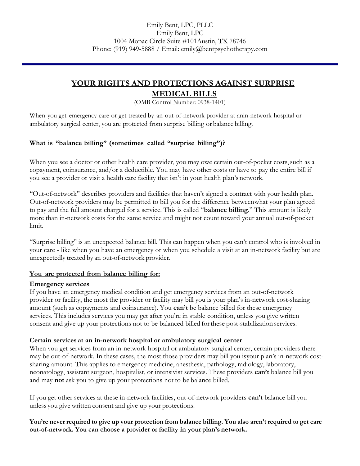# **YOUR RIGHTS AND PROTECTIONS AGAINST SURPRISE MEDICAL BILLS**

(OMB Control Number: 0938-1401)

When you get emergency care or get treated by an out-of-network provider at anin-network hospital or ambulatory surgical center, you are protected from surprise billing or balance billing.

## **What is "balance billing" (sometimes called "surprise billing")?**

When you see a doctor or other health care provider, you may owe certain out-of-pocket costs, such as a copayment, coinsurance, and/or a deductible. You may have other costs or have to pay the entire bill if you see a provider or visit a health care facility that isn't in your health plan's network.

"Out-of-network" describes providers and facilities that haven't signed a contract with your health plan. Out-of-network providers may be permitted to bill you for the difference betweenwhat your plan agreed to pay and the full amount charged for a service. This is called "**balance billing**." This amount is likely more than in-network costs for the same service and might not count toward your annual out-of-pocket limit.

"Surprise billing" is an unexpected balance bill. This can happen when you can't control who is involved in your care - like when you have an emergency or when you schedule a visit at an in-network facility but are unexpectedly treated by an out-of-network provider.

## **You are protected from balance billing for:**

#### **Emergency services**

If you have an emergency medical condition and get emergency services from an out-of-network provider or facility, the most the provider or facility may bill you is your plan's in-network cost-sharing amount (such as copayments and coinsurance). You **can't** be balance billed for these emergency services. This includes services you may get after you're in stable condition, unless you give written consent and give up your protections not to be balanced billed forthese post-stabilization services.

#### **Certain services at an in-network hospital or ambulatory surgical center**

When you get services from an in-network hospital or ambulatory surgical center, certain providers there may be out-of-network. In these cases, the most those providers may bill you isyour plan's in-network costsharing amount. This applies to emergency medicine, anesthesia, pathology, radiology, laboratory, neonatology, assistant surgeon, hospitalist, or intensivist services. These providers **can't** balance bill you and may **not** ask you to give up your protections not to be balance billed.

If you get other services at these in-network facilities, out-of-network providers **can't** balance bill you unless you give written consent and give up your protections.

**You're never required to give up your protection from balance billing. You also aren't required to get care out-of-network. You can choose a provider or facility in your plan's network.**